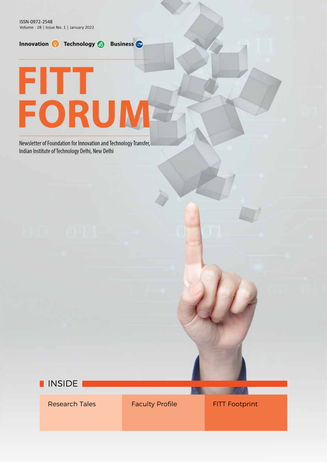ISSN-0972-2548 Volume - 28 | Issue No. 1 | January 2022







Research Tales **Faculty Profile** FITT Footprint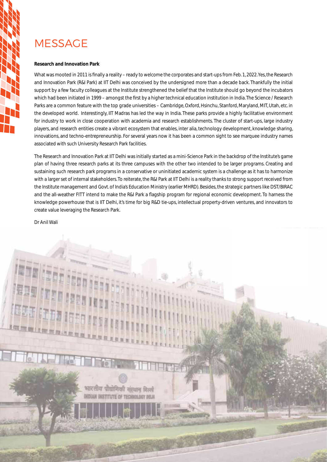# **MESSAGE**

### **Research and Innovation Park**

What was mooted in 2011 is finally a reality – ready to welcome the corporates and start-ups from Feb. 1, 2022. Yes, the Research and Innovation Park (R&I Park) at IIT Delhi was conceived by the undersigned more than a decade back. Thankfully the initial support by a few faculty colleagues at the Institute strengthened the belief that the Institute should go beyond the incubators which had been initiated in 1999 – amongst the first by a higher technical education institution in India. The Science / Research Parks are a common feature with the top grade universities – Cambridge, Oxford, Hsinchu, Stanford, Maryland, MIT, Utah, etc. in the developed world. Interestingly, IIT Madras has led the way in India. These parks provide a highly facilitative environment for industry to work in close cooperation with academia and research establishments. The cluster of start-ups, large industry players, and research entities create a vibrant ecosystem that enables, inter alia, technology development, knowledge sharing, innovations, and techno-entrepreneurship. For several years now it has been a common sight to see marquee industry names associated with such University Research Park facilities.

The Research and Innovation Park at IIT Delhi was initially started as a mini-Science Park in the backdrop of the Institute's game plan of having three research parks at its three campuses with the other two intended to be larger programs. Creating and sustaining such research park programs in a conservative or uninitiated academic system is a challenge as it has to harmonize with a larger set of internal stakeholders. To reiterate, the R&I Park at IIT Delhi is a reality thanks to strong support received from the Institute management and Govt. of India's Education Ministry (earlier MHRD). Besides, the strategic partners like DST/BIRAC and the all-weather FITT intend to make the R&I Park a flagship program for regional economic development. To harness the knowledge powerhouse that is IIT Delhi, it's time for big R&D tie-ups, intellectual property-driven ventures, and innovators to create value leveraging the Research Park.

Dr Anil Wali

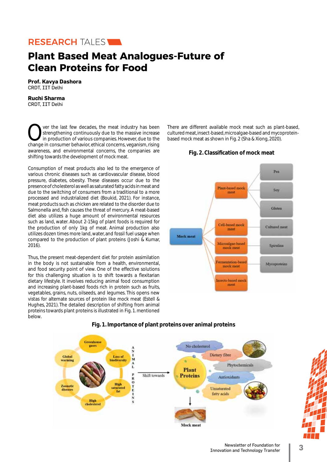

# **Plant Based Meat Analogues-Future of Clean Proteins for Food**

**Prof. Kavya Dashora**  CRDT, IIT Delhi

# **Ruchi Sharma**

CRDT, IIT Delhi

Over the last few decades, the meat industry has been<br>strengthening continuously due to the massive increase<br>in production of various companies. However, due to the<br>change in consumer behavior ethical concerns veganism ris strengthening continuously due to the massive increase in production of various companies. However, due to the change in consumer behavior, ethical concerns, veganism, rising awareness, and environmental concerns, the companies are shifting towards the development of mock meat.

Consumption of meat products also led to the emergence of various chronic diseases such as cardiovascular disease, blood pressure, diabetes, obesity. These diseases occur due to the presence of cholesterol as well as saturated fatty acids in meat and due to the switching of consumers from a traditional to a more processed and industrialized diet (Boukid, 2021). For instance, meat products such as chicken are related to the disorder due to Salmonella and, fish causes the threat of mercury. A meat-based diet also utilizes a huge amount of environmental resources such as land, water. About 2-15kg of plant foods is required for the production of only 1kg of meat. Animal production also utilizes dozen times more land, water, and fossil fuel usage when compared to the production of plant proteins (Joshi & Kumar, 2016).

Thus, the present meat-dependent diet for protein assimilation in the body is not sustainable from a health, environmental, and food security point of view. One of the effective solutions for this challenging situation is to shift towards a flexitarian dietary lifestyle. It involves reducing animal food consumption and increasing plant-based foods rich in protein such as fruits, vegetables, grains, nuts, oilseeds, and legumes. This opens new vistas for alternate sources of protein like mock meat (Estell & Hughes, 2021). The detailed description of shifting from animal proteins towards plant proteins is illustrated in Fig. 1. mentioned below.

There are different available mock meat such as plant-based, cultured meat, insect-based, microalgae-based and mycoproteinbased mock meat as shown in Fig. 2 (Sha & Xiong, 2020).

# **Fig. 2. Classification of mock meat**





# **Fig. 1. Importance of plant proteins over animal proteins**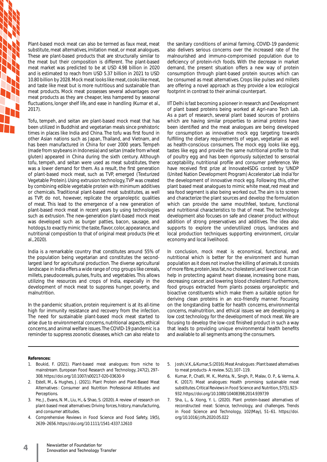Plant-based mock meat can also be termed as faux meat, meat substitute, meat alternatives, imitation meat, or meat analogues. These are plant-based products that are structurally similar to the meat but their composition is different. The plant-based meat market was predicted to be at USD 4.98 billion in 2020 and is estimated to reach from USD 5.37 billion in 2021 to USD 10.80 billion by 2028. Mock meat looks like meat, cooks like meat, and taste like meat but is more nutritious and sustainable than meat products. Mock meat possesses several advantages over meat products as they are cheaper, less hampered by seasonal fluctuations, longer shelf life, and ease in handling (Kumar et al., 2017).

Tofu, tempeh, and seitan are plant-based mock meat that has been utilized in Buddhist and vegetarian meals since prehistoric times in places like India and China. The tofu was first found in other Asian nations such as Japan, Thailand, and Vietnam, and has been manufactured in China for over 2000 years. Tempeh (made from soybeans in Indonesia) and seitan (made from wheat gluten) appeared in China during the sixth century. Although tofu, tempeh, and seitan were used as meat substitutes, there was a lower demand for them. As a result, the first generation of plant-based mock meat, such as TVP, emerged (Texturized Vegetable Protein). Using extrusion technology, TVP was created by combining edible vegetable protein with minimum additives or chemicals. Traditional plant-based meat substitutes, as well as TVP, do not, however, replicate the organoleptic qualities of meat. This lead to the emergence of a new generation of plant-based mock meat in recent years by using technologies such as extrusion. The new-generation plant-based mock meat was developed such as burger patties, bacon, sausage, and hotdogs, to exactly mimic the taste, flavor, color, appearance, and nutritional composition to that of original meat products (He et al., 2020).

India is a remarkable country that constitutes around 55% of the population being vegetarian and constitutes the secondlargest land for agricultural production. The diverse agricultural landscape in India offers a wide range of crop groups like cereals, millets, pseudocereals, pulses, fruits, and vegetables. This allows utilizing the resources and crops of India, especially in the development of mock meat to suppress hunger, poverty, and malnutrition.

In the pandemic situation, protein requirement is at its all-time high for immunity resistance and recovery from the infection. The need for sustainable plant-based mock meat started to arise due to environmental concerns, nutritional aspects, ethical concerns, and animal welfare issues. The COVID-19 pandemic is a reminder to suppress zoonotic diseases, which can also relate to the sanitary conditions of animal farming. COVID-19 pandemic also delivers serious concerns over the increased rate of the malnourished and immuno-compromised population due to deficiency of protein-rich foods. With the decrease in market demand, the present situation offers a new way of protein consumption through plant-based protein sources which can be consumed as meat alternatives. Crops like pulses and millets are offering a novel approach as they provide a low ecological footprint in contrast to their animal counterpart.

IIT Delhi is fast becoming a pioneer in research and Development of plant based proteins being worked at Agri-nano Tech Lab. As a part of research, several plant based sources of proteins which are having similar properties to animal proteins have been identified and the meat analogues are being developed for consumption as innovative mock egg targeting towards fulfilling the dietary requirements of vegan, vegetarian as well as health-conscious consumers. The mock egg looks like egg, tastes like egg and provide the same nutritional profile to that of poultry egg and has been rigorously subjected to sensorial acceptability, nutritional profile and consumer preference. We have received first prize at Innovate4SDG contest by 'UNDP (United Nation Development Program) Accelerator Lab India' for the development of innovative mock egg. Following this, other plant based meat analogues to mimic white meat, red meat and sea food segment is also being worked out. The aim is to screen and characterize the plant sources and develop the formulation which can provide the same mouthfeel, texture, functional and nutritional characteristics to that of meat. The technology development also focuses on safe and cleaner product without addition of strong preservatives and additives. The idea also supports to explore the underutilized crops, landraces and local production techniques supporting environment, circular economy and local livelihood.

In conclusion, mock meat is economical, functional, and nutritional which is better for the environment and human population as it does not involve the killing of animals. It consists of more fibre, protein, less fat, no cholesterol, and lower cost. It can help in protecting against heart disease, increasing bone mass, decreasing cancer, and lowering blood cholesterol. Furthermore, food groups extracted from plants possess organoleptic and bioactive constituents which make them a suitable option for deriving clean proteins in an eco-friendly manner. Focusing on the longstanding battle for health concerns, environmental concerns, malnutrition, and ethical issues we are developing a low cost technology for the development of mock meat. We are focusing to develop the low-cost finished product in such a way that leads to providing unique environmental health benefits and available to all segments among the consumers.

#### **References:**

- 1. Boukid, F. (2021). Plant-based meat analogues: from niche to mainstream. European Food Research and Technology, 247(2), 297– 308. https://doi.org/10.1007/s00217-020-03630-9
- 2. Estell, M., & Hughes, J. (2021). Plant Protein and Plant-Based Meat Alternatives : Consumer and Nutrition Professional Attitudes and **Perceptions**
- 3. He, J., Evans, N. M., Liu, H., & Shao, S. (2020). A review of research on plant-based meat alternatives: Driving forces, history, manufacturing, and consumer attitudes.
- 4. Comprehensive Reviews in Food Science and Food Safety, 19(5), 2639–2656. https://doi.org/10.1111/1541-4337.12610
- 5. Joshi, V. K., & Kumar, S. (2016). Meat Analogues : Plant based alternatives to meat products- A review. 5(2), 107–119.
- 6. Kumar, P., Chatli, M. K., Mehta, N., Singh, P., Malav, O. P., & Verma, A. K. (2017). Meat analogues: Health promising sustainable meat substitutes. Critical Reviews in Food Science and Nutrition, 57(5), 923– 932. https://doi.org/10.1080/10408398.2014.939739
- 7. Sha, L., & Xiong, Y. L. (2020). Plant protein-based alternatives of reconstructed meat: Science, technology, and challenges. Trends in Food Science and Technology, 102(May), 51–61. https://doi. org/10.1016/j.tifs.2020.05.022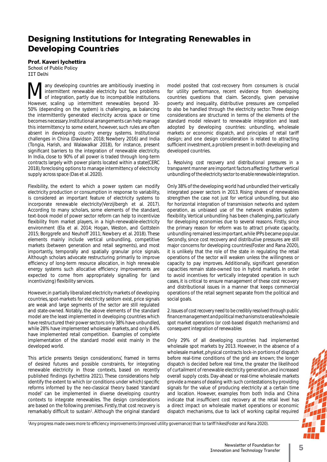# **Designing Institutions for Integrating Renewables in Developing Countries**

**Prof. Kaveri Iychettira** 

School of Public Policy IIT Delhi

Many developing countries are ambitiously investing in<br>of integration, partly due to incompatible institutions.<br>However, scaling up, intermittent renewables beyond 30. intermittent renewable electricity but face problems of integration, partly due to incompatible institutions. However, scaling up intermittent renewables beyond 30- 50% (depending on the system) is challenging, as balancing the intermittently generated electricity across space or time becomes necessary. Institutional arrangements can help manage this intermittency to some extent, however, such rules are often absent in developing country energy systems. Institutional challenges in China (Davidson 2018; Newbery 2016) and India (Tongia, Harish, and Walawalkar 2018), for instance, present significant barriers to the integration of renewable electricity. In India, close to 90% of all power is traded through long-term contracts largely with power plants located within a state(CERC 2018), foreclosing options to manage intermittency of electricity supply across space (Das et al. 2020).

Flexibility, the extent to which a power system can modify electricity production or consumption in response to variability, is considered an important feature of electricity systems to incorporate renewable electricity(Verzijlbergh et al. 2017). According to many scholars, some elements of the standard, text-book model of power sector reform can help to incentivize flexibility from market players, in a high-renewable-electricity environment (Ela et al. 2014; Hogan, Weston, and Gottstein 2015; Borggrefe and Neuhoff 2011; Newbery et al. 2018). These elements mainly include vertical unbundling, competitive markets (between generation and retail segments), and most importantly, temporally and spatially granular price signals. Although scholars advocate restructuring primarily to improve efficiency of long-term resource allocation, in high renewable energy systems such allocative efficiency improvements are expected to come from appropriately signalling for (and incentivizing) flexibility services.

However, in partially liberalized electricity markets of developing countries, spot-markets for electricity seldom exist, price signals are weak and large segments of the sector are still regulated and state-owned. Notably, the above elements of the standard model are the least implemented in developing countries which have restructured their power sectors: only 38% have unbundled, while 28% have implemented wholesale markets, and only 8.4% have implemented retail competition. Examples of complete implementation of the standard model exist mainly in the developed world.

This article presents 'design considerations', framed in terms of desired futures and possible constraints, for integrating renewable electricity in those contexts, based on recently published findings (Iychettira 2021). These considerations help identify the extent to which (or conditions under which) specific reforms informed by the neo-classical theory based 'standard model' can be implemented in diverse developing country contexts to integrate renewables. The design considerations are based on the following premises. Firstly, that cost recovery is remarkably difficult to sustain<sup>1</sup>. Although the original standard model posited that cost-recovery from consumers is crucial for utility performance, recent evidence from developing countries questions that claim. Secondly, given pervasive poverty and inequality, distributive pressures are compelled to also be handled through the electricity sector. Three design considerations are structured in terms of the elements of the standard model relevant to renewable integration and least adopted by developing countries: unbundling, wholesale markets or economic dispatch, and principles of retail tariff design; and one design consideration is related to attracting sufficient investment, a problem present in both developing and developed countries.

*1. Resolving cost recovery and distributional pressures in a transparent manner are important factors affecting further vertical unbundling of the electricity sector to enable renewable integration.*

Only 38% of the developing world had unbundled their vertically integrated power sectors in 2013. Rising shares of renewables strengthen the case not just for vertical unbundling, but also for horizontal integration of transmission networks and system operation, as unbiased use of the network enables system flexibility. Vertical unbundling has been challenging, particularly for developing economies due to several reasons. Firstly, since the primary reason for reform was to attract private capacity, unbundling remained less important, while IPPs became popular. Secondly, since cost recovery and distributive pressures are still major concerns for developing countries(Foster and Rana 2020), it is unlikely that the role of the state in regulating the retail operations of the sector will weaken unless the willingness or capacity to pay improves. Additionally, significant generation capacities remain state-owned too in hybrid markets. In order to avoid incentives for vertically integrated operation in such cases, it is critical to ensure management of these cost recovery and distributional issues in a manner that keeps commercial operations of the retail segment separate from the political and social goals.

*2. Issues of cost recovery need to be credibly resolved through public fi nance management and political mechanisms to enable wholesale spot market operations (or cost-based dispatch mechanisms) and consequent integration of renewables*

Only 29% of all developing countries had implemented wholesale spot markets by 2013. However, in the absence of a wholesale market, physical contracts lock-in portions of dispatch before real-time conditions of the grid are known; the longer dispatch is decided before real time, the greater the likelihood of curtailment of renewable electricity generation, and increased overall supply costs. Day-ahead or real-time wholesale markets provide a means of dealing with such contestations by providing signals for the value of producing electricity at a certain time and location. However, examples from both India and China indicate that insufficient cost recovery at the retail level has a direct impact on wholesale market operations or economic dispatch mechanisms, due to lack of working capital required

<sup>1</sup>Any progress made owes more to efficiency improvements (improved utility governance) than to tariff hikes(Foster and Rana 2020).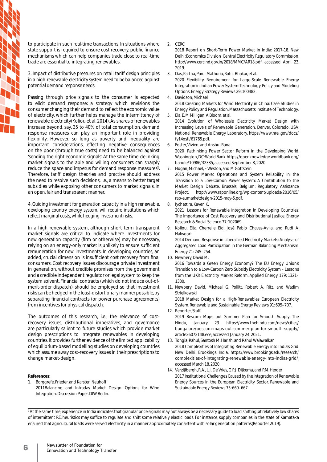to participate in such real-time transactions. In situations where state support is required to ensure cost recovery, public finance mechanisms which can help companies trade close to real-time trade are essential to integrating renewables.

*3. Impact of distributive pressures on retail tariff design principles in a high-renewable-electricity system need to be balanced against potential demand response needs.* 

Passing through price signals to the consumer is expected to elicit demand response: a strategy which envisions the consumer changing their demand to reflect the economic value of electricity, which further helps manage the intermittency of renewable electricity(Koliou et al. 2014). As shares of renewables increase beyond, say, 35 to 40% of total consumption, demand response measures can play an important role in providing flexibility. However, so long as poverty and inequality are important considerations, effecting negative consequences on the poor (through true costs) need to be balanced against 'sending the right economic signals'. At the same time, delinking market signals to the able and willing consumers can sharply reduce the space and impetus for demand response measures<sup>2</sup>. Therefore, tariff design theories and practise should address the need to resolve such decisions, i.e., a means to better target subsidies while exposing other consumers to market signals, in an open, fair and transparent manner.

*4. Guiding investment for generation capacity in a high renewable, developing country energy system, will require institutions which*  reflect marginal costs, while hedging investment risks.

In a high renewable system, although short term transparent market signals are critical to indicate where investments for new generation capacity (firm or otherwise) may be necessary, relying on an energy-only market is unlikely to ensure sufficient remuneration for new investments. In developing countries, an added, crucial dimension is insufficient cost recovery from final consumers. Cost recovery issues discourage private investment in generation, without credible promises from the government and a credible independent regulator or legal system to keep the system solvent. Financial contracts (which do not induce out-ofmerit-order dispatch), should be employed so that investment risks can be hedged in the least-distortionary manner possible, by separating financial contracts (or power purchase agreements) from incentives for physical dispatch.

The outcomes of this research, i.e., the relevance of costrecovery issues, distributional imperatives, and governance are particularly salient to future studies which provide market design prescriptions to integrate renewables in developing countries. It provides further evidence of the limited applicability of equilibrium-based modelling studies on developing countries which assume away cost-recovery issues in their prescriptions to change market-design.

#### **References:**

1. Borggrefe, Frieder, and Karsten Neuhoff 2011Balancing and Intraday Market Design: Options for Wind Integration. Discussion Paper. DIW Berlin.

2. CERC

 2018 Report on Short-Term Power Market in India: 2017-18. New Delhi: Economics Division Central Electricity Regulatory Commission. http://www.cercind.gov.in/2018/MMC/AR18.pdf, accessed April 23, 2019.

3. Das, Partha, Parul Mathuria, Rohit Bhakar, et al.

 2020 Flexibility Requirement for Large-Scale Renewable Energy Integration in Indian Power System: Technology, Policy and Modeling Options. Energy Strategy Reviews 29: 100482.

4. Davidson, Michael

 2018 Creating Markets for Wind Electricity in China: Case Studies in Energy Policy and Regulation. Massachusetts Institute of Technology. 5. Ela, E, M Milligan, A Bloom, et al.

 2014 Evolution of Wholesale Electricity Market Design with Increasing Levels of Renewable Generation. Denver, Colorado, USA: National Renewable Energy Laboratory. https://www.nrel.gov/docs/ fy14osti/61765.pdf.

6. Foster, Vivien, and Anshul Rana

 2020 Rethinking Power Sector Reform in the Developing World. Washington, DC: World Bank. https://openknowledge.worldbank.org/ handle/10986/32335, accessed September 8, 2020.

- 7. Hogan, Michael, F Weston, and M Gottstein 2015 Power Market Operations and System Reliability in the Transition to a Low-Carbon Power System: A Contribution to the Market Design Debate. Brussels, Belgium: Regulatory Assistance Project. http://www.raponline.org/wp-content/uploads/2016/05/ rap-eumarketdesign-2015-may-5.pdf.
- 8. Iychettira, Kaveri K.

 2021 Lessons for Renewable Integration in Developing Countries: The Importance of Cost Recovery and Distributional Justice. Energy Research & Social Science 77: 102069.

- 9. Koliou, Elta, Cherrelle Eid, José Pablo Chaves-Ávila, and Rudi A. Hakvoort 2014 Demand Response in Liberalized Electricity Markets: Analysis of Aggregated Load Participation in the German Balancing Mechanism. Energy 71: 245–254.
- 10. Newbery, David M.

 2016 Towards a Green Energy Economy? The EU Energy Union's Transition to a Low-Carbon Zero Subsidy Electricity System – Lessons from the UK's Electricity Market Reform. Applied Energy 179: 1321– 1330.

11. Newbery, David, Michael G. Pollitt, Robert A. Ritz, and Wadim **Strielkowski** 

 2018 Market Design for a High-Renewables European Electricity System. Renewable and Sustainable Energy Reviews 91: 695–707.

12. Reporter, Staff 2019 Bescom Maps out Summer Plan for Smooth Supply. The Hindu, January 23. https://www.thehindu.com/news/cities/ bangalore/bescom-maps-out-summer-plan-for-smooth-supply/ article26072148.ece, accessed January 24, 2021.

- 13. Tongia, Rahul, Santosh M. Harish, and Rahul Walawalkar 2018 Complexities of Integrating Renewable Energy into India's Grid. New Delhi: Brookings India. https://www.brookings.edu/research/ complexities-of-integrating-renewable-energy-into-indias-grid/, accessed March 18, 2020.
- 14. Verzijlbergh, R.A., L.J. De Vries, G.P.J. Dijkema, and P.M. Herder 2017 Institutional Challenges Caused by the Integration of Renewable Energy Sources in the European Electricity Sector. Renewable and Sustainable Energy Reviews 75: 660–667.

<sup>2</sup> At the same time, experience in India indicates that granular price signals may not always be a necessary guide to load shifting; at relatively low shares of intermittent RE, heuristics may suffice to regulate and shift some relatively elastic loads. For instance, supply companies in the state of Karnataka ensured that agricultural loads were served electricity in a manner approximately consistent with solar generation patterns(Reporter 2019).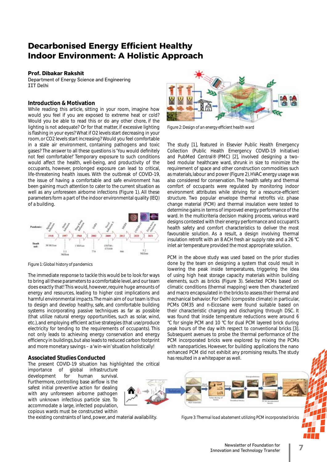# **Decarbonised Energy Efficient Healthy Indoor Environment: A Holistic Approach**

## **Prof. Dibakar Rakshit**

Department of Energy Science and Engineering IIT Delhi

## **Introduction & Motivation**

While reading this article, sitting in your room, imagine how would you feel if you are exposed to extreme heat or cold? Would you be able to read this or do any other chore, if the lighting is not adequate? Or for that matter, if excessive lighting is flashing in your eyes? What if O2 levels start decreasing in your room, or CO2 levels start increasing? Would you feel comfortable in a stale air environment, containing pathogens and toxic gases? The answer to all these questions is 'You would definitely not feel comfortable!' Temporary exposure to such conditions would affect the health, well-being, and productivity of the occupants, however, prolonged exposure can lead to critical, life-threatening health issues. With the outbreak of COVID-19, the issue of having a comfortable and safe environment has been gaining much attention to cater to the current situation as well as any unforeseen airborne infections (Figure 1). All these parameters form a part of the indoor environmental quality (IEQ) of a building.



*Figure 1: Global history of pandemics*

The immediate response to tackle this would be to look for ways to bring all these parameters to a comfortable level, and our team does exactly that! This would, however, require huge amounts of energy and resources, leading to higher cost implications and harmful environmental impacts. The main aim of our team is thus to design and develop healthy, safe, and comfortable building systems incorporating passive techniques as far as possible (that utilize natural energy opportunities, such as solar, wind, etc.), and employing efficient active strategies (that use/produce electricity for tending to the requirements of occupants). This not only leads to achieving energy conservation and energy efficiency in buildings, but also leads to reduced carbon footprint and more monetary savings – a 'win-win' situation holistically!

### **Associated Studies Conducted**

The present COVID-19 situation has highlighted the critical

importance of global infrastructure development for human survival. Furthermore, controlling base airflow is the safest initial preventive action for dealing with any unforeseen airborne pathogen with unknown infectious particle size. To accommodate a large, infected population, copious wards must be constructed within

the existing constraints of land, power, and material availability.



Figure 2: Design of an energy efficient health ward

The study [1], featured in Elsevier Public Health Emergency Collection (Public Health Emergency COVID-19 Initiative) and PubMed Central® (PMC) [2], involved designing a twobed modular healthcare ward, shrunk in size to minimize the requirement of space and other construction commodities such as materials, labour and power (Figure 2). HVAC energy usage was also considered for conservation. The health safety and thermal comfort of occupants were regulated by monitoring indoor environment attributes while striving for a resource-efficient structure. Two popular envelope thermal retrofits viz. phase change material (PCM) and thermal insulation were tested to determine gains in terms of improved energy performance of the ward. In the multicriteria decision making process, various ward designs contested with their energy performance and occupant's health safety and comfort characteristics to deliver the most favourable solution. As a result, a design involving thermal insulation retrofit with an 8 ACH fresh air supply rate and a 26 °C inlet air temperature provided the most appropriate solution.

PCM in the above study was used based on the prior studies done by the team on designing a system that could result in lowering the peak inside temperatures, triggering the idea of using high heat storage capacity materials within building elements, such as bricks (Figure 3). Selected PCMs based on climatic conditions (thermal mapping) were then characterized and macro encapsulated in the bricks to assess their thermal and mechanical behavior. For Delhi (composite climate) in particular, PCMs OM35 and n-Eicosane were found suitable based on their characteristic charging and discharging through DSC. It was found that inside temperature reductions were around 6 °C for single PCM and 10 °C for dual PCM layered brick during peak hours of the day with respect to conventional bricks [3]. Subsequent avenues to probe the thermal performance of the PCM incorporated bricks were explored by mixing the PCMs with nanoparticles. However, for building applications the nano enhanced PCM did not exhibit any promising results. The study has resulted in a whitepaper as well.



*Figure 3: Thermal load abatement utilizing PCM incorporated bricks*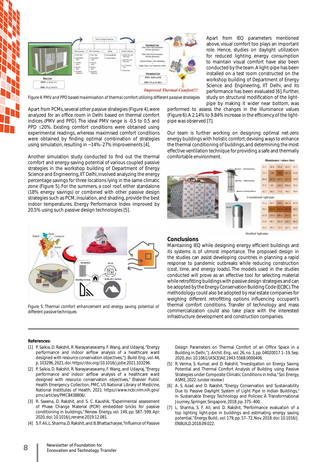

*Figure 4: PMV and PPD based maximisation of thermal comfort utilizing different passive strategies* 

Apart from PCMs, several other passive strategies (Figure 4), were analyzed for an office room in Delhi based on thermal comfort indices (PMV and PPD). The ideal PMV range is -0.5 to 0.5 and PPD  $\leq$ 20%. Existing comfort conditions were obtained using experimental readings, whereas maximised comfort conditions were obtained by finding optimal combination of strategies using simulation, resulting in ~14%–27% improvements [4].

Another simulation study conducted to find out the thermal comfort and energy-saving potential of various coupled passive strategies in the workshop building of Department of Energy Science and Engineering, IIT Delhi, involved analyzing the energy percentage savings for three locations lying in the same climatic zone (Figure 5). For the summers, a cool roof, either standalone (18% energy savings) or combined with other passive design strategies such as PCM, insulation, and shading, provide the best indoor temperatures. Energy Performance Index improved by 20.5% using such passive design technologies [5].



*Figure 5: Thermal comfort enhancement and energy saving potential of different passive techniques* 

Apart from IEQ parameters mentioned above, visual comfort too plays an important role. Hence, studies on daylight utilization for reduced lighting energy consumption to maintain visual comfort have also been conducted by the team. A light-pipe has been installed on a test room constructed on the workshop building of Department of Energy Science and Engineering, IIT Delhi, and its performance has been evaluated [6]. Further, study on structural modification of the lightpipe by making it wider near bottom, was

performed to assess the changes in the illuminance values (Figure 6). A 2.14% to 9.84% increase in the efficiency of the lightpipe was observed [7].

Our team is further working on designing optimal net-zero energy buildings with holistic comfort, devising ways to enhance the thermal conditioning of buildings, and determining the most effective ventilation technique for providing a safe and thermally comfortable environment.



#### **Conclusions**

Maintaining IEQ while designing energy efficient buildings and its systems is of utmost importance. The proposed design in the studies can assist developing countries in planning a rapid response to pandemic outbreaks while reducing construction (cost, time, and energy loads). The models used in the studies conducted will prove as an effective tool for selecting material while retrofitting buildings with passive design strategies and can be adopted by the Energy Conservation Building Code (ECBC). The methodology could also be adopted by real estate companies for weighing different retrofitting options influencing occupant's thermal comfort conditions. Transfer of technology and mass commercialization could also take place with the interested infrastructure development and construction companies.

#### **References:**

- [1] P. Saikia, D. Rakshit, R. Narayanaswamy, F. Wang, and Udayraj, "Energy performance and indoor airflow analysis of a healthcare ward designed with resource conservation objectives," J. Build. Eng., vol. 44, p. 103296, 2021, doi: https://doi.org/10.1016/j.jobe.2021.103296.
- [2] P. Saikia, D. Rakshit, R. Narayanaswamy, F. Wang, and Udayraj, "Energy performance and indoor airflow analysis of a healthcare ward designed with resource conservation objectives," Elsevier Public Health Emergency Collection, PMC, US National Library of Medicine, National Instittutes of Health, 2021. https://www.ncbi.nlm.nih.gov/ pmc/articles/PMC8438806/.
- [3] R. Saxena, D. Rakshit, and S. C. Kaushik, "Experimental assessment of Phase Change Material (PCM) embedded bricks for passive conditioning in buildings," Renew. Energy, vol. 149, pp. 587–599, Apr. 2020, doi: 10.1016/j.renene.2019.12.081.
- [4] S. F. Ali, L. Sharma, D. Rakshit, and B. Bhattacharjee, "Influence of Passive

Design Parameters on Thermal Comfort of an Office Space in a Building in Delhi," J. Archit. Eng., vol. 26, no. 3, pp. 04020017 1–19, Sep. 2020, doi: 10.1061/(ASCE)AE.1943-5568.0000406.

- [5] R. Verma, S. Kumar, and D. Rakshit, "Investigation on Energy Saving Potential and Thermal Comfort Analysis of Building using Passive Strategies under Composite Climatic Conditions in India," Sol. Energy, ASME, 2022. (under review)
- [6] A. S. Azad and D. Rakshit, "Energy Conservation and Sustainability Due to Passive Daylight System of Light Pipe in Indian Buildings, in Sustainable Energy Technology and Policies: A Transformational Journey, Springer, Singapore, 2018, pp. 375–400.
- [7] L. Sharma, S. F. Ali, and D. Rakshit, "Performance evaluation of a top lighting light-pipe in buildings and estimating energy saving potential," Energy Build., vol. 179, pp. 57–72, Nov. 2018, doi: 10.1016/J. ENBUILD.2018.09.022.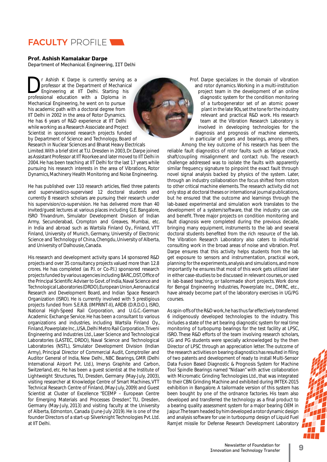

## **Prof. Ashish Kamalakar Darpe**

Department of Mechanical Engineering, IIT Delhi

**Dr** Ashish K Darpe is currently serving as a professor at the Department of Mechanical Engineering at IIT Delhi. Starting his professional education with a Diploma in professor at the Department of Mechanical<br>Engineering at IIT Delhi. Starting his professional education with a Diploma in Mechanical Engineering, he went on to pursue his academic path with a doctoral degree from IIT Delhi in 2002 in the area of Rotor Dynamics. He has 6 years of R&D experience at IIT Delhi while working as a Research Associate and Project t Scientist in sponsored research projects funded Scientist in sponsored research projects funded<br>by Department of Science and Technology, Board of Research in Nuclear Sciences and Bharat Heavy Electricals Limited. With a brief stint at T.U. Dresden in 2003, Dr. Darpe joined as Assistant Professor at IIT Roorkee and later moved to IIT Delhi in 2004. He has been teaching at IIT Delhi for the last 17 years while pursuing his research interests in the area of Vibrations, Rotor Dynamics, Machinery Health Monitoring and Noise Engineering.

He has published over 110 research articles, filed three patents and supervised/co-supervised 12 doctoral students and currently 8 research scholars are pursuing their research under his supervision/co-supervision. He has delivered more than 40 invited/guest lectures at various places including G.E. Bangalore, ISRO Trivandrum, Simulator Development Division of Indian Army, Secunderabad, Crompton and Greaves, Mumbai, etc. in India and abroad such as Wartsila Finland Oy., Finland, VTT Finland, University of Munich, Germany, University of Electronic Science and Technology of China, Chengdu, University of Alberta, and University of Dalhousie, Canada.

His research and development activity spans 14 sponsored R&D projects and over 35 consultancy projects valued more than 12.8 crores. He has completed (as P.I. or Co-P.I.) sponsored research projects funded by various agencies including BARC, DST, Office of the Principal Scientific Adviser to Govt. of India, Naval Science and Technological Laboratories (DRDO), European Union, Aeronautical Research and Development Board, and Indian Space Research Organization (ISRO). He is currently involved with 5 prestigious projects funded from S.E.R.B. (IMPRINT-II), ARDB (D.R.D.O.), ISRO, National High-Speed Rail Corporation, and U.G.C.-German Academic Exchange Service. He has been a consultant to various organizations and industries, including Wartsila Finland Oy., Finland, Powerplate Inc., USA, Delhi Metro Rail Corporation, Triveni Engineering and Industries Ltd., Laser Science and Technological Laboratories (LASTEC, DRDO), Naval Science and Technological Laboratories (NSTL), Simulator Development Division (Indian Army), Principal Director of Commercial Audit, Comptroller and Auditor General of India, New Delhi., NBC Bearings, GMR (Delhi International Airport Pvt. Ltd.), Imerys Graphite and Carbon, Switzerland, etc. He has been a guest scientist at the Institute of Lightweight Structures, TU, Dresden, Germany (May-July, 2003), visiting researcher at Knowledge Centre of Smart Machines, VTT Technical Research Centre of Finland, (May-July, 2009) and Guest Scientist at Cluster of Excellence "ECEMP – European Centre for Emerging Materials and Processes Dresden, TU, Dresden, Germany (May-July, 2013) and visiting faculty at the University of Alberta, Edmonton, Canada (June-July 2019). He is one of the founder Directors of a start-up Silverknight Technologies Pvt. Ltd. at IIT Delhi.

Prof. Darpe specializes in the domain of vibration Pr and rotor dynamics. Working in a multi-institution project team in the development of an online diagnostic system for the condition monitoring of a turbogenerator set of an atomic power plant in the late 90s, set the tone for the industry relevant and practical R&D work. His research team at the Vibration Research Laboratory is involved in developing technologies for the diagnosis and prognosis of machine elements, in particular of gears and bearings, among others. inAmong the key outcome of his research has been the

reliable fault diagnostics of rotor faults such as fatigue crack, shaft/coupling misalignment and contact rub. The research challenge addressed was to isolate the faults with apparently similar frequency signature to pinpoint the exact fault through novel signal analysis backed by physics of the system. Later, through an industry collaboration the focus shifted from rotors to other critical machine elements. The research activity did not only stop at doctoral theses or international journal publications, but he ensured that the outcome and learnings through the lab-based experimental and simulation work translates to the development of a system/software, that the industry can use and benefit. Three major projects on condition monitoring and fault diagnosis were completed during the previous decade, bringing many equipment, instruments to the lab and several doctoral students benefited from the rich resource of the lab. The Vibration Research Laboratory also caters to industrial consulting work in the broad areas of noise and vibration. Prof. Darpe ensures that this activity helps students from the lab get exposure to sensors and instrumentation, practical work, planning for the experiments, analysis and simulations, and more importantly he ensures that most of this work gets utilized later in either case-studies to be discussed in relevant courses, or used in lab-based teaching, or tailormade short projects. Work done for Bengal Engineering Industries, Powerplate Inc., DMRC, etc., have already become part of the laboratory exercises in UG/PG courses.

As spin-offs of the R&D work, he has thus far effectively transferred 6 indigenously developed technologies to the industry. This includes a state of the art bearing diagnostic system for real time monitoring of turbopump bearings for the test facility at LPSC, ISRO. These R&D efforts of the team involving research scholars, UG and PG students were specially acknowledged by the then Director of LPSC through an appreciation letter. The outcome of the research activities on bearing diagnostics has resulted in filing of two patents and development of ready to install Multi-Sensor Data Fusion Based Diagnostic & Prognosis System for Machine Tool Spindle Bearings named "Nidaan" with active collaboration with Micromatic Grinding Technologies Ltd., that was integrated to their CBN Grinding Machine and exhibited during IMTEX-2015 exhibition in Bangalore. A tailormade version of this system has been bought by one of the ordnance factories. His team also developed and transferred the technology as a final product to a bearing quality assessment system for a major bearing OEM in Jaipur. The team headed by him developed a rotor dynamic design and analysis software for use in turbopump design of Liquid Fuel RamJet missile for Defense Research Development Laboratory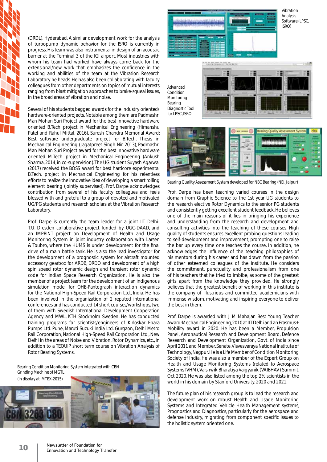(DRDL), Hyderabad. A similar development work for the analysis of turbopump dynamic behavior for the ISRO is currently in progress. His team was also instrumental in design of an acoustic barrier at the Terminal 3 of the IGI airport. Most industries with whom his team had worked have always come back for the extensional/new work that emphasizes the confidence in the working and abilities of the team at the Vibration Research Laboratory he heads. He has also been collaborating with faculty colleagues from other departments on topics of mutual interests ranging from blast mitigation approaches to brake-squeal issues, in the broad areas of vibration and noise.

Several of his students bagged awards for the industry oriented/ hardware-oriented projects. Notable among them are Padmashri Man Mohan Suri Project award for the best innovative hardware oriented B.Tech. project in Mechanical Engineering (Himanshu Patel and Rahul Mittal, 2016), Suresh Chandra Memorial Award: Best software undergraduate project for B.Tech. Thesis in Mechanical Engineering (Jagatpreet Singh Nir, 2013), Padmashri Man Mohan Suri Project award for the best innovative hardware oriented M.Tech. project in Mechanical Engineering (Ankush Sharma, 2014, in co-supervision). The UG student Suyash Agarwal (2017) received the BOSS award for best hardcore experimental B.Tech. project in Mechanical Engineering for his relentless efforts to realize the innovative idea of developing a smart rolling element bearing (jointly supervised). Prof. Darpe acknowledges contribution from several of his faculty colleagues and feels blessed with and grateful to a group of devoted and motivated UG/PG students and research scholars at the Vibration Research Laboratory.

Prof. Darpe is currently the team leader for a joint IIT Delhi-T.U. Dresden collaborative project funded by UGC-DAAD, and an IMPRINT project on Development of Health and Usage Monitoring System in joint industry collaboration with Larsen & Toubro, where the HUMS is under development for the final drive of a main battle tank. He is also the lead investigator for the development of a prognostic system for aircraft mounted accessory gearbox for ARDB, DRDO and development of a high spin speed rotor dynamic design and transient rotor dynamic code for Indian Space Research Organization. He is also the member of a project team for the development of an indigenous simulation model for OHE-Pantograph interaction dynamics for the National High-Speed Rail Corporation Ltd., India. He has been involved in the organization of 2 reputed international conferences and has conducted 14 short courses/workshops, two of them with Swedish International Development Cooperation Agency and MWL, KTH Stockholm Sweden. He has conducted training programs for scientists/engineers of Kirloskar Ebara Pumps Ltd. Pune, Maruti Suzuki India Ltd. Gurgaon, Delhi Metro Rail Corporation, National High-Speed Rail Corporation Ltd., New Delhi in the areas of Noise and Vibration, Rotor Dynamics, etc., in addition to a TEQUIP short term course on Vibration Analysis of Rotor Bearing Systems.

*Bearing Condition Monitoring System integrated with CBN Grinding Machine of MGTL*





*Advanced Condition Monitoring Bearing Diagnostic Tool for LPSC, ISRO*





*Bearing Quality Assessment System developed for NBC Bearing (NEI, Jaipur)*

Prof. Darpe has been teaching varied courses in the design domain from Graphic Science to the 1st year UG students to the research elective Rotor Dynamics to the senior PG students and consistently getting excellent student feedback. He believes one of the main reasons of it lies in bringing his experience and understanding from the research and development and consulting activities into the teaching of these courses. High quality of students ensures excellent probing questions leading to self-development and improvement, prompting one to raise the bar up every time one teaches the course. In addition, he acknowledges the influence of the teaching philosophies of his mentors during his career and has drawn from the passion of other esteemed colleagues of the institute. He considers the commitment, punctuality and professionalism from one of his teachers that he tried to imbibe, as some of the greatest gifts apart from the knowledge they provided. He strongly believes that the greatest benefit of working in this institute is the company of illustrious and committed academicians with immense wisdom, motivating and inspiring everyone to deliver the best in them.

Prof. Darpe is awarded with J M Mahajan Best Young Teacher Award: Mechanical Engineering, 2010 at IIT Delhi and an Erasmus+ Mobility award in 2020. He has been a Member, Propulsion Panel, Aeronautical Research and Development Board, Defence Research and Development Organization, Govt. of India since April 2011 and Member, Senate, Visvesvaraya National Institute of Technology, Nagpur. He is a Life Member of Condition Monitoring Society of India. He was also a member of the Expert Group on Health and Usage Monitoring Systems (related to Aerospace Systems IVHM), Vaishwik Bharatiya Vaigyanik (VAIBHAV) Summit, Oct 2020. He was also listed among the top 2% scientists in the world in his domain by Stanford University, 2020 and 2021.

The future plan of his research group is to lead the research and development work on robust Health and Usage Monitoring Systems and Integrated Vehicle Health Management systems, Prognostics and Diagnostics, particularly for the aerospace and defense industry, migrating from component specific issues to the holistic system oriented one.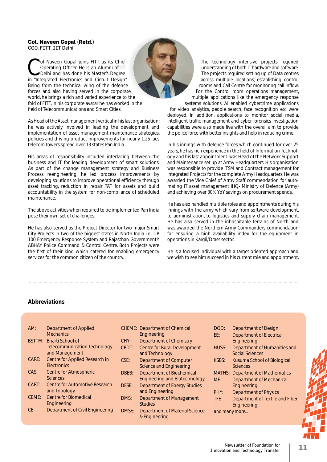### **Col. Naveen Gopal (Retd.)**  COO, FITT, IIT Delhi

ol Naveen Gopal joins FITT as its Chief Operating Officer. He is an Alumni of IIT Delhi and has done his Master's Degree in "Integrated Electronics and Circuit Design". Being from the technical wing of the defence forces and also having served in the corporate world, he brings a rich and varied experience to the fold of FITT. In his corporate avatar he has worked in the field of Telecommunications and Smart Cities. te<br>the m

As Head of the Asset management vertical in his last organisation; he was actively involved in leading the development and implementation of asset management maintenance strategies, policies and driving product improvements for nearly 1.25 lacs telecom towers spread over 13 states Pan India.

His areas of responsibility included interfacing between the business and IT for leading development of smart solutions. As part of the change management strategy and Business Process reengineering, he led process improvements by developing solutions to improve operational efficiency through asset tracking, reduction in repair TAT for assets and build accountability in the system for non-compliance of scheduled maintenance.

The above activities when required to be implemented Pan India pose their own set of challenges.

He has also served as the Project Director for two major Smart City Projects in two of the biggest states in North India i.e., UP 100 Emergency Response System and Rajasthan Government's ABHAY Police Command & Control Centre. Both Projects were the first of their kind which catered for enabling emergency services for the common citizen of the country.

The technology intensive projects required understanding of both IT hardware and software. The projects required setting up of Data centres across multiple locations, establishing control rooms and Call Centre for monitoring call inflow. For the Control room operations management, multiple applications like the emergency response

systems solutions, AI enabled cybercrime applications for video analytics, people search, face recognition etc were deployed. In addition, applications to monitor social media, intelligent traffic management and cyber forensics investigation capabilities were also made live with the overall aim to provide the police force with better insights and help in reducing crime.

In his innings with defence forces which continued for over 25 years, he has rich experience in the field of Information Technology and his last appointment was Head of the Network Support and Maintenance set up at Army Headquarters. His organisation was responsible to provide ITSM and Contract management for Integrated Projects for the complete Army Headquarters. He was awarded the Vice Chief of Army Staff commendation for automating IT asset management IHQ- Ministry of Defence (Army) and achieving over 30% YoY savings on procurement spends.

He has also handled multiple roles and appointments during his innings with the army which vary from software development, to administration, to logistics and supply chain management. He has also served in the inhospitable terrains of North and was awarded the Northern Army Commanders commendation for ensuring a high availability index for the equipment in operations in Kargil/Drass sector.

He is a focused individual with a target oriented approach and we wish to see him succeed in his current role and appointment.

# **Abbreviations**

| AM:   | Department of Applied                                  |       | <b>CHEME:</b> Department of Chemical                                     | DOD:          | Department of Design                                                       |
|-------|--------------------------------------------------------|-------|--------------------------------------------------------------------------|---------------|----------------------------------------------------------------------------|
|       | <b>Mechanics</b>                                       |       | Engineering                                                              | EE:           | <b>Department of Electrical</b>                                            |
|       | BSTTM: Bharti School of                                | CHY:  | Department of Chemistry                                                  |               | Engineering                                                                |
|       | <b>Telecommunication Technology</b><br>and Management  | CRDT: | <b>Centre for Rural Development</b><br>and Technology                    | HUSS:         | Department of Humanities and<br>Social Sciences                            |
| CARE: | Centre for Applied Research in<br><b>Electronics</b>   | CSE:  | <b>Department of Computer</b><br><b>Science and Engineering</b>          | <b>KSBS:</b>  | Kusuma School of Biological<br><b>Sciences</b>                             |
| CAS:  | <b>Centre for Atmospheric</b><br><b>Sciences</b>       | DBEB: | <b>Department of Biochemical</b><br><b>Engineering and Biotechnology</b> | ME:           | <b>MATHS: Department of Mathematics</b><br><b>Department of Mechanical</b> |
| CART: | <b>Centre for Automotive Research</b><br>and Tribology | DESE: | <b>Department of Energy Studies</b><br>and Engineering                   | PHY:          | Engineering<br><b>Department of Physics</b>                                |
| CBME: | <b>Centre for Biomedical</b><br>Engineering            | DMS:  | Department of Management<br><b>Studies</b>                               | TFE:          | Department of Textile and Fiber<br>Engineering                             |
| CE:   | Department of Civil Engineering                        | DMSE: | Department of Material Science<br>& Engineering                          | and many more |                                                                            |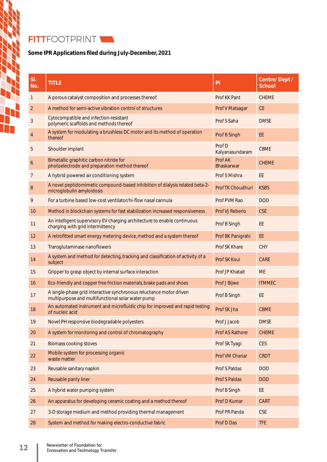# FITTFOOTPRINT

# Some IPR Applications filed during July-December, 2021

| SI.<br>No.     | <b>TITLE</b>                                                                                                             | PI                           | <b>Centre/Dept/</b><br><b>School</b> |
|----------------|--------------------------------------------------------------------------------------------------------------------------|------------------------------|--------------------------------------|
| $\mathbf{1}$   | A porous catalyst composition and processes thereof                                                                      | Prof KK Pant                 | <b>CHEME</b>                         |
| $\overline{2}$ | A method for semi-active vibration control of structures                                                                 | Prof V Matsagar              | CE                                   |
| 3              | Cytocompatible and infection-resistant<br>polymeric scaffolds and methods thereof                                        | Prof S Saha                  | <b>DMSE</b>                          |
| 4              | A system for modulating a brushless DC motor and its method of operation<br>thereof                                      | Prof B Singh                 | EE                                   |
| 5              | Shoulder implant                                                                                                         | Prof D<br>Kalyanasundaram    | <b>CBME</b>                          |
| 6              | Bimetallic graphitic carbon nitride for<br>photoelectrode and preparation method thereof                                 | Prof AK<br><b>Bhaskarwar</b> | <b>CHEME</b>                         |
| 7              | A hybrid powered air conditioning system                                                                                 | Prof S Mishra                | EE                                   |
| 8              | A novel peptidomimetic compound-based inhibition of dialysis related beta-2-<br>microglobulin amyloidosis                | Prof TK Choudhuri            | <b>KSBS</b>                          |
| 9              | For a turbine based low-cost ventilator/hi-flow nasal cannula                                                            | Prof PVM Rao                 | <b>DOD</b>                           |
| 10             | Method in blockchain systems for fast stabilization increased responsiveness                                             | <b>Prof VJ Reberio</b>       | <b>CSE</b>                           |
| 11             | An intelligent supervisory EV charging architecture to enable continuous<br>charging with grid intermittency             | Prof B Singh                 | EE                                   |
| 12             | A retrofitted smart energy metering device, method and a system thereof                                                  | Prof BK Panigrahi            | EE                                   |
| 13             | Transglutaminase nanoflowers                                                                                             | <b>Prof SK Khare</b>         | <b>CHY</b>                           |
| 14             | A system and method for detecting, tracking and classification of activity of a<br>subject                               | <b>Prof SK Koul</b>          | <b>CARE</b>                          |
| 15             | Gripper to grasp object by internal surface interaction                                                                  | <b>Prof JP Khatait</b>       | <b>ME</b>                            |
| 16             | Eco-friendly and copper free friction materials, brake pads and shoes                                                    | Prof J Bijwe                 | <b>ITMMEC</b>                        |
| 17             | A single-phase grid interactive synchronous reluctance motor driven<br>multipurpose and multifunctional solar water pump | Prof B Singh                 | EE                                   |
| 18             | An automated instrument and microfluidic chip for improved and rapid testing<br>of nucleic acid                          | Prof SK Jha                  | <b>CBME</b>                          |
| 19             | Novel PH responsive biodegradable polyesters                                                                             | Prof J Jacob                 | <b>DMSE</b>                          |
| 20             | A system for monitoring and control of chromatography                                                                    | <b>Prof AS Rathore</b>       | <b>CHEME</b>                         |
| 21             | <b>Biomass cooking stoves</b>                                                                                            | Prof SK Tyagi                | <b>CES</b>                           |
| 22             | Mobile system for processing organic<br>waste matter                                                                     | Prof VM Chariar              | <b>CRDT</b>                          |
| 23             | Reusable sanitary napkin                                                                                                 | <b>Prof S Paldas</b>         | <b>DOD</b>                           |
| 24             | Reusable panty liner                                                                                                     | <b>Prof S Paldas</b>         | <b>DOD</b>                           |
| 25             | A hybrid water pumping system                                                                                            | Prof B Singh                 | EE                                   |
| 26             | An apparatus for developing ceramic coating and a method thereof                                                         | Prof D Kumar                 | <b>CART</b>                          |
| 27             | 3-D storage medium and method providing thermal management                                                               | Prof PR Panda                | <b>CSE</b>                           |
| 28             | System and method for making electro-conductive fabric                                                                   | Prof D Das                   | <b>TFE</b>                           |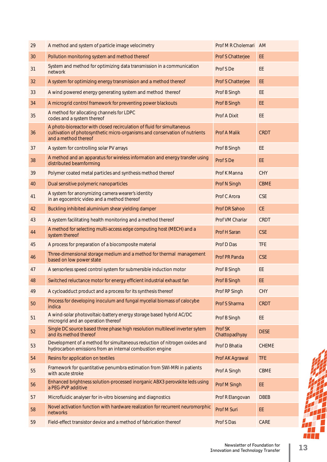| 29 | A method and system of particle image velocimetry                                                                                                                             | Prof M R Cholemari       | <b>AM</b>    |
|----|-------------------------------------------------------------------------------------------------------------------------------------------------------------------------------|--------------------------|--------------|
| 30 | Pollution monitoring system and method thereof                                                                                                                                | Prof S Chatterjee        | EE           |
| 31 | System and method for optimizing data transmission in a communication<br>network                                                                                              | Prof S De                | EE           |
| 32 | A system for optimizing energy transmission and a method thereof                                                                                                              | Prof S Chatterjee        | EE           |
| 33 | A wind powered energy generating system and method thereof                                                                                                                    | Prof B Singh             | EE           |
| 34 | A microgrid control framework for preventing power blackouts                                                                                                                  | Prof B Singh             | EE           |
| 35 | A method for allocating channels for LDPC<br>codes and a system thereof                                                                                                       | <b>Prof A Dixit</b>      | EE           |
| 36 | A photo-bioreactor with closed recirculation of fluid for simultaneous<br>cultivation of photosynthetic micro-organisms and conservation of nutrients<br>and a method thereof | Prof A Malik             | <b>CRDT</b>  |
| 37 | A system for controlling solar PV arrays                                                                                                                                      | Prof B Singh             | EE           |
| 38 | A method and an apparatus for wireless information and energy transfer using<br>distributed beamforming                                                                       | Prof S De                | EE           |
| 39 | Polymer coated metal particles and synthesis method thereof                                                                                                                   | Prof K Manna             | CHY          |
| 40 | Dual sensitive polymeric nanoparticles                                                                                                                                        | Prof N Singh             | <b>CBME</b>  |
| 41 | A system for anonymizing camera wearer's identity<br>in an egocentric video and a method thereof                                                                              | Prof C Arora             | <b>CSE</b>   |
| 42 | Buckling inhibited aluminium shear yielding damper                                                                                                                            | Prof DR Sahoo            | CE           |
| 43 | A system facilitating health monitoring and a method thereof<br>Prof VM Chariar                                                                                               |                          | <b>CRDT</b>  |
| 44 | A method for selecting multi-access edge computing host (MECH) and a<br>Prof H Saran<br>system thereof                                                                        |                          | <b>CSE</b>   |
| 45 | A process for preparation of a biocomposite material                                                                                                                          | Prof D Das               | <b>TFE</b>   |
| 46 | Three-dimensional storage medium and a method for thermal management<br>based on low power state                                                                              | Prof PR Panda            | <b>CSE</b>   |
| 47 | A sensorless speed control system for submersible induction motor                                                                                                             | Prof B Singh             | <b>EE</b>    |
| 48 | Switched reluctance motor for energy efficient industrial exhaust fan<br>Prof B Singh                                                                                         |                          | EE           |
| 49 | A cycloadduct product and a process for its synthesis thereof                                                                                                                 | Prof RP Singh            | <b>CHY</b>   |
| 50 | Process for developing inoculum and fungal mycelial biomass of calocybe<br>indica                                                                                             | Prof S Sharma            | <b>CRDT</b>  |
| 51 | A wind-solar photovoltaic-battery energy storage based hybrid AC/DC<br>microgrid and an operation thereof                                                                     | Prof B Singh             | EE           |
| 52 | Single DC source based three phase high resolution multilevel inverter sytem<br>and its method thereof                                                                        | Prof SK<br>Chattopadhyay |              |
| 53 | Development of a method for simultaneous reduction of nitrogen oxides and<br>Prof D Bhatia<br>hydrocarbon emissions from an internal combustion engine                        |                          | <b>CHEME</b> |
| 54 | Resins for application on textiles                                                                                                                                            | Prof AK Agrawal          | <b>TFE</b>   |
| 55 | Framework for quantitative penumbra estimation from SWI-MRI in patients<br>with acute stroke                                                                                  | Prof A Singh             | <b>CBME</b>  |
| 56 | Enhanced brightness solution-processed inorganic ABX3 perovskite leds using<br>a PEG-PVP additive                                                                             | Prof M Singh             | EE           |
| 57 | Microfluidic analyser for in-vitro biosensing and diagnostics<br>Prof R Elangovan                                                                                             |                          | <b>DBEB</b>  |
| 58 | Novel activation function with hardware realization for recurrent neuromorphic<br>networks                                                                                    | Prof M Suri              | EE           |
| 59 | Field-effect transistor device and a method of fabrication thereof                                                                                                            | Prof S Das               | CARE         |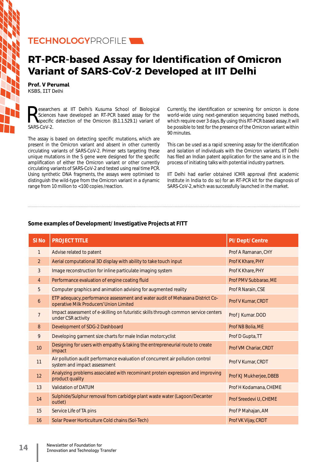# TECHNOLOGYPROFILE

# **RT-PCR-based Assay for Identification of Omicron Variant of SARS-CoV-2 Developed at IIT Delhi**

**Prof. V Perumal** KSBS, IIT Delhi

Sciences have developed an RT-PCR based assay for the specific detection of the Omicron (B.1.1.529.1) variant of SAPS-CoV-2 Sciences have developed an RT-PCR based assay for the SARS-CoV-2.

The assay is based on detecting specific mutations, which are present in the Omicron variant and absent in other currently circulating variants of SARS-CoV-2. Primer sets targeting these unique mutations in the S gene were designed for the specific amplification of either the Omicron variant or other currently circulating variants of SARS-CoV-2 and tested using real time PCR. Using synthetic DNA fragments, the assays were optimised to distinguish the wild-type from the Omicron variant in a dynamic range from 10 million to <100 copies /reaction.

Currently, the identification or screening for omicron is done world-wide using next-generation sequencing based methods, which require over 3 days. By using this RT-PCR based assay, it will be possible to test for the presence of the Omicron variant within 90 minutes.

This can be used as a rapid screening assay for the identification and isolation of individuals with the Omicron variants. IIT Delhi has filed an Indian patent application for the same and is in the process of initiating talks with potential industry partners.

IIT Delhi had earlier obtained ICMR approval (first academic Institute in India to do so) for an RT-PCR kit for the diagnosis of SARS-CoV-2, which was successfully launched in the market.

# **Some examples of Development/ Investigative Projects at FITT**

| SI <sub>No</sub> | <b>PROJECT TITLE</b>                                                                                                     | <b>PI/Dept/Centre</b>   |
|------------------|--------------------------------------------------------------------------------------------------------------------------|-------------------------|
| 1                | Advise related to patent                                                                                                 | Prof A Ramanan, CHY     |
| 2                | Aerial computational 3D display with ability to take touch input                                                         | Prof K Khare, PHY       |
| 3                | Image reconstruction for inline particulate imaging system                                                               | Prof K Khare, PHY       |
| $\overline{4}$   | Performance evaluation of engine coating fluid                                                                           | Prof PMV Subbarao, ME   |
| 5                | Computer graphics and animation advising for augmented reality                                                           | Prof R Narain, CSE      |
| 6                | ETP adequacy, performance assessment and water audit of Mehasana District Co-<br>operative Milk Producers' Union Limited | Prof V Kumar, CRDT      |
| $\overline{7}$   | Impact assessment of e-skilling on futuristic skills through common service centers<br>under CSR activity                | Prof J Kumar, DOD       |
| 8                | Development of SDG-2 Dashboard                                                                                           | Prof NB Bolia, ME       |
| 9                | Developing garment size charts for male Indian motorcyclist                                                              | Prof D Gupta, TT        |
| 10               | Designing for users with empathy & taking the entrepreneurial route to create<br>impact                                  | Prof VM Chariar, CRDT   |
| 11               | Air pollution audit performance evaluation of concurrent air pollution control<br>system and impact assessment           | Prof V Kumar, CRDT      |
| 12               | Analyzing problems associated with recominant protein expression and improving<br>product quality                        | Prof KJ Mukherjee, DBEB |
| 13               | <b>Validation of DATUM</b>                                                                                               | Prof H Kodamana, CHEME  |
| 14               | Sulphide/Sulphur removal from carbidge plant waste water (Lagoon/Decanter<br>outlet)                                     | Prof Sreedevi U, CHEME  |
| 15               | Service Life of TA pins                                                                                                  | Prof P Mahajan, AM      |
| 16               | Solar Power Horticulture Cold chains (Sol-Tech)                                                                          | Prof VK Vijay, CRDT     |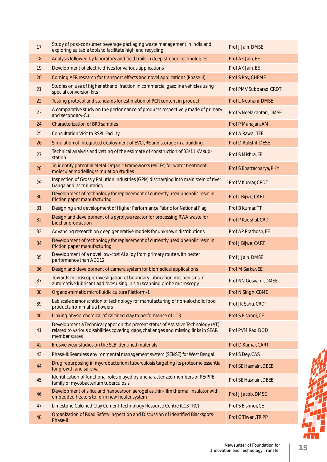| 17 | Study of post-consumer beverage packaging waste management in India and<br>exploring suitable tools to facilitate high end recycling                                                      | Prof J Jain, DMSE        |
|----|-------------------------------------------------------------------------------------------------------------------------------------------------------------------------------------------|--------------------------|
| 18 | Analysis followed by laboratory and field trails in deep stroage technologies                                                                                                             | Prof AK Jain, EE         |
| 19 | Development of electric drives for various applications                                                                                                                                   | Prof AK Jain, EE         |
| 20 | Corning AFR research for transport effects and novel applications (Phase-II)                                                                                                              | Prof S Roy, CHEME        |
| 21 | Studies on use of higher ethanol fraction in commercial gasoline vehicles using<br>special conversion kits                                                                                | Prof PMV Subbarao, CRDT  |
| 22 | Testing protocol and standards for estimation of PCR content in product                                                                                                                   | Prof L Nebhani, DMSE     |
| 23 | A comparative study on the performance of products respectively made of primary<br>and secondary-Cu                                                                                       | Prof S Neelakantan, DMSE |
| 24 | <b>Characterization of BRO samples</b>                                                                                                                                                    | Prof P Mahajan, AM       |
| 25 | <b>Consultation Visit to RSPL Facility</b>                                                                                                                                                | Prof A Rawal, TFE        |
| 26 | Simulation of integrated deployment of EVCI, RE and storage in a building                                                                                                                 | Prof D Rakshit, DESE     |
| 27 | Technical analysis and vetting of the estimate of construction of 33/11 KV sub-<br>station                                                                                                | Prof S Mishra, EE        |
| 28 | To identify potential Metal-Organic Frameworks (MOFs) for water treatment<br>molecular modelling/simulation studies                                                                       | Prof S Bhattacharya, PHY |
| 29 | Inspection of Grossly Pollution Industries (GPIs) discharging into main stem of river<br>Ganga and its tributaries                                                                        | Prof V Kumar, CRDT       |
| 30 | Development of technology for replacement of currently used phenolic resin in<br>friction paper manufacturing                                                                             | Prof J Bijwe, CART       |
| 31 | Designing and development of Higher Performance Fabric for National Flag                                                                                                                  | Prof B Kumar, TT         |
| 32 | Design and development of a pyrolysis reactor for processing RWA waste for<br>biochar production                                                                                          | Prof P Kaushal, CRDT     |
| 33 | Advancing research on deep generative models for unknown distributions                                                                                                                    | Prof AP Prathosh, EE     |
| 34 | Development of technology for replacement of currently used phenolic resin in<br>friction paper manufacturing                                                                             | Prof J Bijwe, CART       |
| 35 | Development of a novel low-cost AI alloy from primary route with better<br>performance than ADC12                                                                                         | Prof J Jain, DMSE        |
| 36 | Design and development of camera system for biomedical applications                                                                                                                       | Prof M Sarkar, EE        |
| 37 | Towards microscopic investigation of boundary lubrication mechanisms of<br>automotive lubricant additives using in situ scanning probe microscopy                                         | Prof NN Gosvami, DMSE    |
| 38 | Organo-mimetic microfluidic culture Platform-1                                                                                                                                            | Prof N Singh, CBME       |
| 39 | Lab scale demonstration of technology for manufacturing of non-alocholic food<br>products from mahua flowers                                                                              | Prof JK Sahu, CRDT       |
| 40 | Linking physic-chemical of calcined clay to performance of LC3                                                                                                                            | Prof S Bishnoi, CE       |
| 41 | Development a Technical paper on the present status of Assistive Technology (AT)<br>related to various disabilities covering, gaps, challenges and missing links in SEAR<br>member states | Prof PVM Rao, DOD        |
| 42 | Erosive wear studies on the SLB identified materials                                                                                                                                      | Prof D Kumar, CART       |
| 43 | Phase-II: Seamless environmental management system (SENSE) for West Bengal                                                                                                                | Prof S Dey, CAS          |
| 44 | Drug repurposing in mycrobacterium tuberculosis targeting its proteome essential<br>for growth and survival                                                                               | Prof SE Hasnain, DBEB    |
| 45 | Identification of functional roles played by uncharacterized members of PE/PPE<br>family of mycobacterium tuberculosis                                                                    | Prof SE Hasnain, DBEB    |
| 46 | Development of silica and nanocarbon aerogel as thin-film thermal insulator with<br>embedded heaters to form new heater system                                                            | Prof J Jacob, DMSE       |
| 47 | Limestone Calcined Clay Cement Technology Resource Centre (LC3 TRC)                                                                                                                       | Prof S Bishnoi, CE       |
| 48 | Organization of Road Safety Inspection and Discussion of Identified Blackspots-<br>Phase-II                                                                                               | Prof G Tiwari, TRIPP     |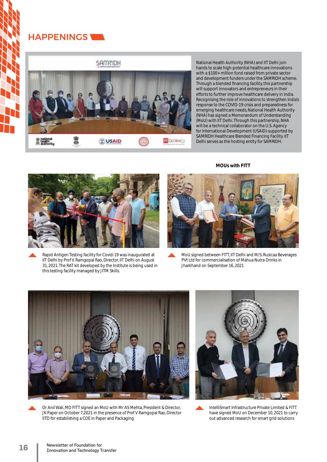# HAPPENINGS

**SAM₹IDH** 



National Health Authority (NHA) and IIT Delhi join hands to scale high-potential healthcare innovations with a \$100+ million fund raised from private sector and development funders under the SAMRIDH scheme. Through a blended financing facility, this partnership will support innovators and entrepreneurs in their efforts to further improve healthcare delivery in India. Recognising the role of innovations to strengthen India's response to the COVID-19 crisis and preparedness for emerging healthcare needs, National Health Authority (NHA) has signed a Memorandum of Understanding (MoU) with IIT Delhi. Through this partnership, NHA will be a technical collaborator on the U.S. Agency for International Development (USAID)-supported by SAMRIDH Healthcare Blended Financing Facility. IIT Delhi serves as the hosting entity for SAMRIDH.

**MOUs with FITT**



Rapid Antigen Testing facility for Covid-19 was inaugurated at IIT Delhi by Prof V. Ramgopal Rao, Director, IIT Delhi on August 31, 2021. The RAT kit developed by the Institute is being used in this testing facility managed by JITM Skills.



MoU signed between FITT, IIT Delhi and M/S. Rusicaa Beverages PVt Ltd for commercialisation of Mahua Nutra Drinks in Jharkhand on September 16, 2021



Dr Anil Wali, MD FITT signed an MoU with Mr AS Mehta, President & Director, JK Paper on October 7,2021 in the presence of Prof V Ramgopal Rao, Director IITD for establishing a COE in Paper and Packaging



IntelliSmart Infrastructure Private Limited & FITT have signed MoU on December 10, 2021 to carry out advanced research for smart grid solutions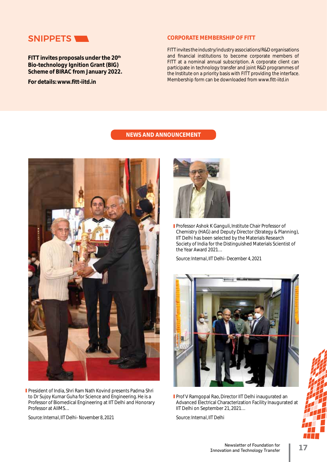

**FITT invites proposals under the 20th Bio-technology Ignition Grant (BIG) Scheme of BIRAC from January 2022.** 

**For details: www.fitt-iitd.in** 

## **CORPORATE MEMBERSHIP OF FITT**

FITT invites the industry/industry associations/R&D organisations and financial institutions to become corporate members of FITT at a nominal annual subscription. A corporate client can participate in technology transfer and joint R&D programmes of the Institute on a priority basis with FITT providing the interface. Membership form can be downloaded from www.fitt-iitd.in

# **NEWS AND ANNOUNCEMENT**



President of India, Shri Ram Nath Kovind presents Padma Shri to Dr Sujoy Kumar Guha for Science and Engineering. He is a Professor of Biomedical Engineering at IIT Delhi and Honorary Professor at AIIMS…

*Source: Internal, IIT Delhi- November 8, 2021*



**Professor Ashok K Ganguli, Institute Chair Professor of** Chemistry (HAG) and Deputy Director (Strategy & Planning), IIT Delhi has been selected by the Materials Research Society of India for the Distinguished Materials Scientist of the Year Award 2021…

*Source: Internal, IIT Delhi- December 4, 2021*



**Prof V Ramgopal Rao, Director IIT Delhi inaugurated an** Advanced Electrical Characterization Facility Inaugurated at IIT Delhi on September 21, 2021…

*Source: Internal, IIT Delhi*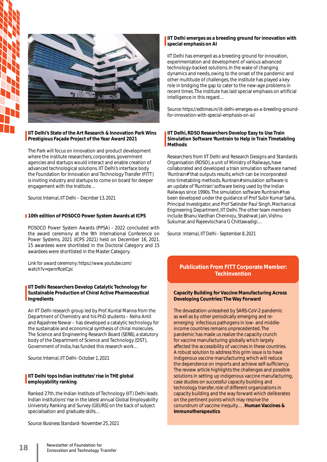



## **IIT Delhi's State of the Art Research & Innovation Park Wins Prestigious Façade Project of the Year Award 2021**

The Park will focus on innovation and product development where the institute researchers, corporates, government agencies and startups would interact and enable creation of advanced technological solutions. IIT Delhi's interface body the Foundation for Innovation and Technology Transfer (FITT) is inviting industry and startups to come on board for deeper engagement with the Institute…

*Source: Internal, IIT Delhi – Decmber 13, 2021*

## **10th edition of POSOCO Power System Awards at ICPS**

POSOCO Power System Awards (PPSA) - 2022 concluded with the award ceremony at the 9th International Conference on Power Systems, 2021 (ICPS 2021) held on December 16, 2021. 15 awardees were shortlisted in the Doctoral Category and 15 awardees were shortlisted in the Master Category.

*Link for award ceremony: https://www.youtube.com/ watch?v=qwnrRceiCpc*

### **IIT Delhi Researchers Develop Catalytic Technology for Sustainable Production of Chiral Active Pharmaceutical Ingredients**

An IIT Delhi research group led by Prof. Kuntal Manna from the Department of Chemistry and his PhD students – Neha Antil and Rajashree Newar – has developed a catalytic technology for the sustainable and economical synthesis of chiral molecules. The Science and Engineering Research Board (SERB), a statutory body of the Department of Science and Technology (DST), Government of India, has funded this research work…

*Source: Internal, IIT Delhi- October 1, 2021*

## **IIT Delhi tops Indian institutes' rise in THE global employability ranking**

Ranked 27th, the Indian Institute of Technology (IIT) Delhi leads Indian institutions' rise in the latest annual Global Employability University Ranking and Survey (GEURS) on the back of subject specialisation and graduate skills…

*Source: Business Standard- November 25, 2021*

### **IIT Delhi emerges as a breeding ground for innovation with special emphasis on AI**

IIT Delhi has emerged as a breeding ground for innovation, experimentation and development of various advanced technology-backed solutions. In the wake of changing dynamics and needs, owing to the onset of the pandemic and other multitude of challenges, the institute has played a key role in bridging the gap to cater to the new-age problems in recent times. The institute has laid special emphasis on artificial intelligence in this regard…

*Source: https://edtimes.in/iit-delhi-emerges-as-a-breeding-groundfor-innovation-with-special-emphasis-on-ai/*

### **IIT Delhi, RDSO Researchers Develop Easy to Use Train Simulation Software 'Runtrain to Help in Train Timetabling Methods**

Researchers from IIT Delhi and Research Designs and Standards Organisation (RDSO), a unit of Ministry of Railways, have collaborated and developed a train simulation software named 'Runtrain#' that outputs results, which can be incorporated into timetabling methods. Runtrain# simulation software is an update of 'Runtrain' software being used by the Indian Railways since 1990s. The simulation software Runtrain# has been developed under the guidance of Prof Subir Kumar Saha, Principal Investigator, and Prof Satinder Paul Singh, Mechanical Engineering Department, IIT Delhi. The other team members include Bhanu Vardhan Chennoju, Shashwat Jain, Vishnu Sukumar, and Rajeevlochana G Chittawadigi…

*Source : Internal, IIT Delhi - September 8, 2021* 

# **Publication From FITT Corporate Member: TechInvention**

### **Capacity Building for Vaccine Manufacturing Across Developing Countries: The Way Forward**

The devastation unleashed by SARS-CoV-2 pandemic as well as by other periodically emerging and reemerging infectious pathogens in low- and middleincome countries remains unprecedented. The pandemic has made us realize the capacity crunch for vaccine manufacturing globally which largely affected the accessibility of vaccines in these countries. A robust solution to address this grim issue is to have indigenous vaccine manufacturing which will reduce the dependence on imports and achieve self-sufficiency. The review article highlights the challenges and possible solutions in setting up indigenous vaccine manufacturing, case studies on successful capacity building and technology transfer, role of different organizations in capacity building and the way forward which deliberates on the pertinent points which may resolve the conundrum of vaccine inequity…. **Human Vaccines & Immunotherapeutics**